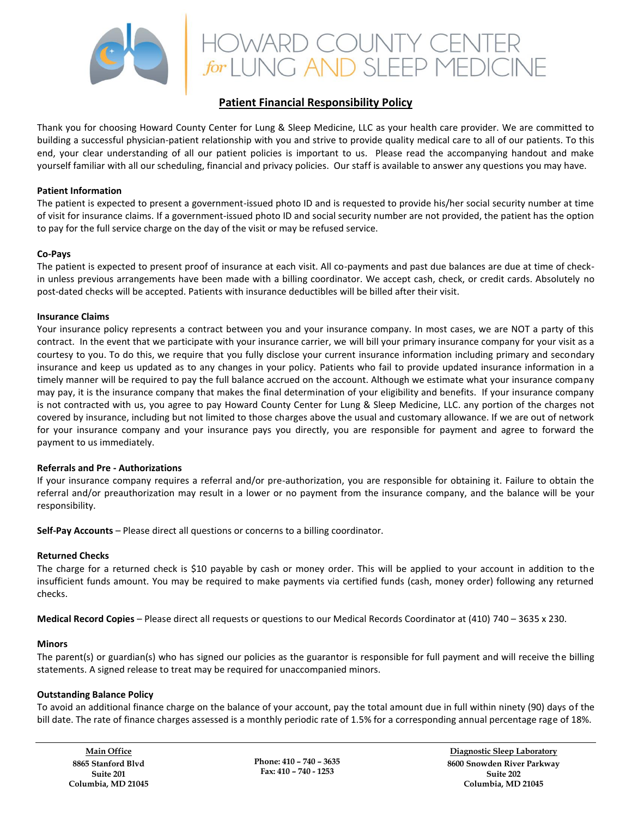

# HOWARD COUNTY CENTER<br>for LUNG AND SLEEP MEDICINE

# **Patient Financial Responsibility Policy**

Thank you for choosing Howard County Center for Lung & Sleep Medicine, LLC as your health care provider. We are committed to building a successful physician-patient relationship with you and strive to provide quality medical care to all of our patients. To this end, your clear understanding of all our patient policies is important to us. Please read the accompanying handout and make yourself familiar with all our scheduling, financial and privacy policies. Our staff is available to answer any questions you may have.

#### **Patient Information**

The patient is expected to present a government-issued photo ID and is requested to provide his/her social security number at time of visit for insurance claims. If a government-issued photo ID and social security number are not provided, the patient has the option to pay for the full service charge on the day of the visit or may be refused service.

#### **Co-Pays**

The patient is expected to present proof of insurance at each visit. All co-payments and past due balances are due at time of checkin unless previous arrangements have been made with a billing coordinator. We accept cash, check, or credit cards. Absolutely no post-dated checks will be accepted. Patients with insurance deductibles will be billed after their visit.

#### **Insurance Claims**

Your insurance policy represents a contract between you and your insurance company. In most cases, we are NOT a party of this contract. In the event that we participate with your insurance carrier, we will bill your primary insurance company for your visit as a courtesy to you. To do this, we require that you fully disclose your current insurance information including primary and secondary insurance and keep us updated as to any changes in your policy. Patients who fail to provide updated insurance information in a timely manner will be required to pay the full balance accrued on the account. Although we estimate what your insurance company may pay, it is the insurance company that makes the final determination of your eligibility and benefits. If your insurance company is not contracted with us, you agree to pay Howard County Center for Lung & Sleep Medicine, LLC. any portion of the charges not covered by insurance, including but not limited to those charges above the usual and customary allowance. If we are out of network for your insurance company and your insurance pays you directly, you are responsible for payment and agree to forward the payment to us immediately.

## **Referrals and Pre - Authorizations**

If your insurance company requires a referral and/or pre-authorization, you are responsible for obtaining it. Failure to obtain the referral and/or preauthorization may result in a lower or no payment from the insurance company, and the balance will be your responsibility.

**Self-Pay Accounts** – Please direct all questions or concerns to a billing coordinator.

## **Returned Checks**

The charge for a returned check is \$10 payable by cash or money order. This will be applied to your account in addition to the insufficient funds amount. You may be required to make payments via certified funds (cash, money order) following any returned checks.

**Medical Record Copies** – Please direct all requests or questions to our Medical Records Coordinator at (410) 740 – 3635 x 230.

#### **Minors**

The parent(s) or guardian(s) who has signed our policies as the guarantor is responsible for full payment and will receive the billing statements. A signed release to treat may be required for unaccompanied minors.

# **Outstanding Balance Policy**

To avoid an additional finance charge on the balance of your account, pay the total amount due in full within ninety (90) days of the bill date. The rate of finance charges assessed is a monthly periodic rate of 1.5% for a corresponding annual percentage rage of 18%.

**Main Office 8865 Stanford Blvd Suite 201 Columbia, MD 21045**

**Phone: 410 – 740 – 3635 Fax: 410 – 740 - 1253**

**Diagnostic Sleep Laboratory 8600 Snowden River Parkway Suite 202 Columbia, MD 21045**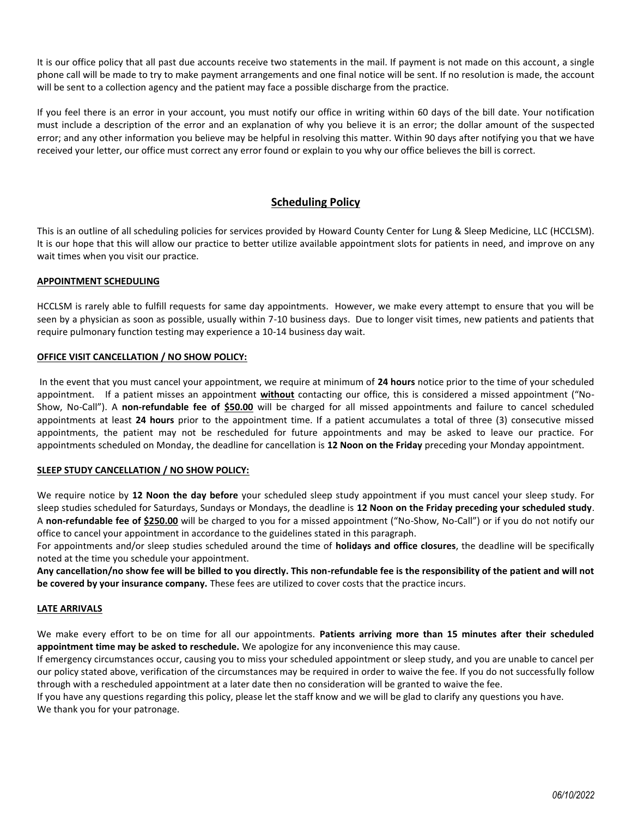It is our office policy that all past due accounts receive two statements in the mail. If payment is not made on this account, a single phone call will be made to try to make payment arrangements and one final notice will be sent. If no resolution is made, the account will be sent to a collection agency and the patient may face a possible discharge from the practice.

If you feel there is an error in your account, you must notify our office in writing within 60 days of the bill date. Your notification must include a description of the error and an explanation of why you believe it is an error; the dollar amount of the suspected error; and any other information you believe may be helpful in resolving this matter. Within 90 days after notifying you that we have received your letter, our office must correct any error found or explain to you why our office believes the bill is correct.

# **Scheduling Policy**

This is an outline of all scheduling policies for services provided by Howard County Center for Lung & Sleep Medicine, LLC (HCCLSM). It is our hope that this will allow our practice to better utilize available appointment slots for patients in need, and improve on any wait times when you visit our practice.

#### **APPOINTMENT SCHEDULING**

HCCLSM is rarely able to fulfill requests for same day appointments. However, we make every attempt to ensure that you will be seen by a physician as soon as possible, usually within 7-10 business days. Due to longer visit times, new patients and patients that require pulmonary function testing may experience a 10-14 business day wait.

#### **OFFICE VISIT CANCELLATION / NO SHOW POLICY:**

In the event that you must cancel your appointment, we require at minimum of **24 hours** notice prior to the time of your scheduled appointment. If a patient misses an appointment **without** contacting our office, this is considered a missed appointment ("No-Show, No-Call"). A **non-refundable fee of \$50.00** will be charged for all missed appointments and failure to cancel scheduled appointments at least **24 hours** prior to the appointment time. If a patient accumulates a total of three (3) consecutive missed appointments, the patient may not be rescheduled for future appointments and may be asked to leave our practice. For appointments scheduled on Monday, the deadline for cancellation is **12 Noon on the Friday** preceding your Monday appointment.

#### **SLEEP STUDY CANCELLATION / NO SHOW POLICY:**

We require notice by **12 Noon the day before** your scheduled sleep study appointment if you must cancel your sleep study. For sleep studies scheduled for Saturdays, Sundays or Mondays, the deadline is **12 Noon on the Friday preceding your scheduled study**. A **non-refundable fee of \$250.00** will be charged to you for a missed appointment ("No-Show, No-Call") or if you do not notify our office to cancel your appointment in accordance to the guidelines stated in this paragraph.

For appointments and/or sleep studies scheduled around the time of **holidays and office closures**, the deadline will be specifically noted at the time you schedule your appointment.

**Any cancellation/no show fee will be billed to you directly. This non-refundable fee is the responsibility of the patient and will not be covered by your insurance company.** These fees are utilized to cover costs that the practice incurs.

#### **LATE ARRIVALS**

We make every effort to be on time for all our appointments. **Patients arriving more than 15 minutes after their scheduled appointment time may be asked to reschedule.** We apologize for any inconvenience this may cause.

If emergency circumstances occur, causing you to miss your scheduled appointment or sleep study, and you are unable to cancel per our policy stated above, verification of the circumstances may be required in order to waive the fee. If you do not successfully follow through with a rescheduled appointment at a later date then no consideration will be granted to waive the fee.

If you have any questions regarding this policy, please let the staff know and we will be glad to clarify any questions you have. We thank you for your patronage.